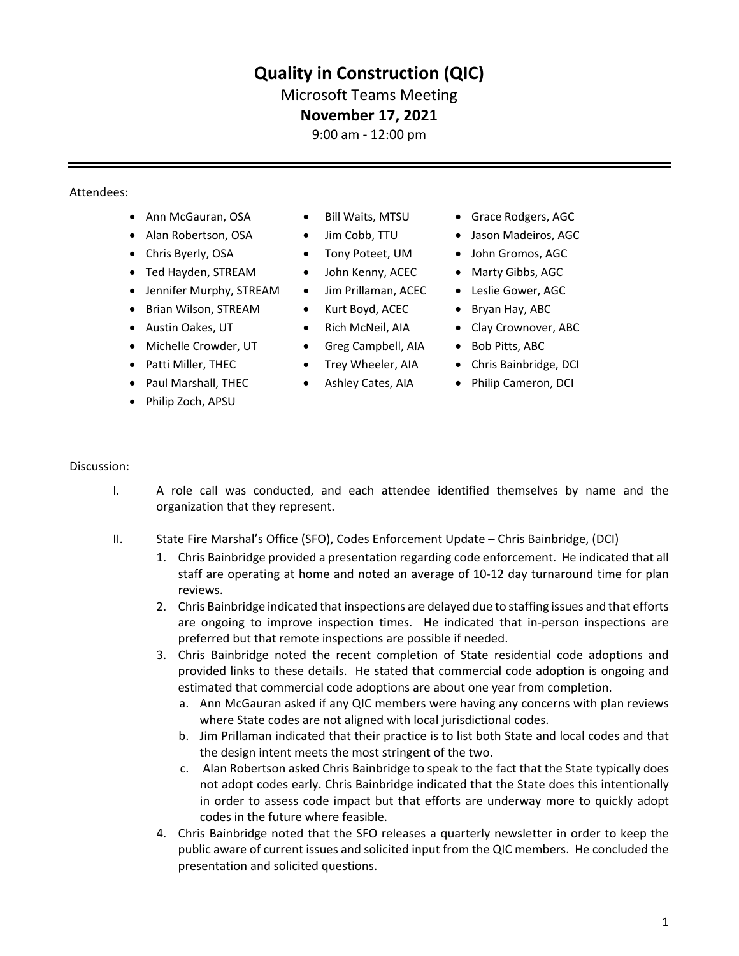# **Quality in Construction (QIC)**

## Microsoft Teams Meeting

## **November 17, 2021**

9:00 am - 12:00 pm

#### Attendees:

- Ann McGauran, OSA Bill Waits, MTSU Grace Rodgers, AGC
- 
- 
- Ted Hayden, STREAM John Kenny, ACEC Marty Gibbs, AGC
- Jennifer Murphy, STREAM
- Brian Wilson, STREAM
- Austin Oakes, UT
- Michelle Crowder, UT
- Patti Miller, THEC
- Paul Marshall, THEC
- Philip Zoch, APSU
- 
- 
- 
- 
- Jim Prillaman, ACEC
- Kurt Boyd, ACEC
- Rich McNeil, AIA
- Greg Campbell, AIA
- Trey Wheeler, AIA
- Ashley Cates, AIA
- 
- Alan Robertson, OSA Jim Cobb, TTU Jason Madeiros, AGC
- Chris Byerly, OSA Tony Poteet, UM John Gromos, AGC
	-
	- Leslie Gower, AGC
	- Bryan Hay, ABC
	- Clay Crownover, ABC
	- Bob Pitts, ABC
	- Chris Bainbridge, DCI
	- Philip Cameron, DCI

#### Discussion:

- I. A role call was conducted, and each attendee identified themselves by name and the organization that they represent.
- II. State Fire Marshal's Office (SFO), Codes Enforcement Update Chris Bainbridge, (DCI)
	- 1. Chris Bainbridge provided a presentation regarding code enforcement. He indicated that all staff are operating at home and noted an average of 10-12 day turnaround time for plan reviews.
	- 2. Chris Bainbridge indicated that inspections are delayed due to staffing issues and that efforts are ongoing to improve inspection times. He indicated that in-person inspections are preferred but that remote inspections are possible if needed.
	- 3. Chris Bainbridge noted the recent completion of State residential code adoptions and provided links to these details. He stated that commercial code adoption is ongoing and estimated that commercial code adoptions are about one year from completion.
		- a. Ann McGauran asked if any QIC members were having any concerns with plan reviews where State codes are not aligned with local jurisdictional codes.
		- b. Jim Prillaman indicated that their practice is to list both State and local codes and that the design intent meets the most stringent of the two.
		- c. Alan Robertson asked Chris Bainbridge to speak to the fact that the State typically does not adopt codes early. Chris Bainbridge indicated that the State does this intentionally in order to assess code impact but that efforts are underway more to quickly adopt codes in the future where feasible.
	- 4. Chris Bainbridge noted that the SFO releases a quarterly newsletter in order to keep the public aware of current issues and solicited input from the QIC members. He concluded the presentation and solicited questions.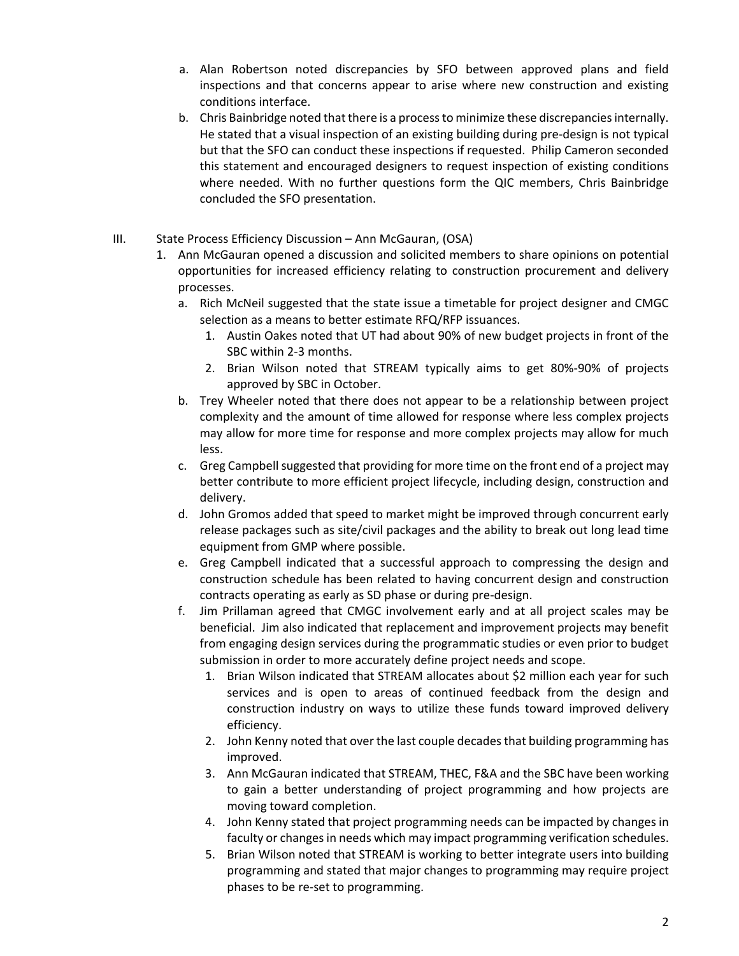- a. Alan Robertson noted discrepancies by SFO between approved plans and field inspections and that concerns appear to arise where new construction and existing conditions interface.
- b. Chris Bainbridge noted that there is a process to minimize these discrepancies internally. He stated that a visual inspection of an existing building during pre-design is not typical but that the SFO can conduct these inspections if requested. Philip Cameron seconded this statement and encouraged designers to request inspection of existing conditions where needed. With no further questions form the QIC members, Chris Bainbridge concluded the SFO presentation.
- III. State Process Efficiency Discussion Ann McGauran, (OSA)
	- 1. Ann McGauran opened a discussion and solicited members to share opinions on potential opportunities for increased efficiency relating to construction procurement and delivery processes.
		- a. Rich McNeil suggested that the state issue a timetable for project designer and CMGC selection as a means to better estimate RFQ/RFP issuances.
			- 1. Austin Oakes noted that UT had about 90% of new budget projects in front of the SBC within 2-3 months.
			- 2. Brian Wilson noted that STREAM typically aims to get 80%-90% of projects approved by SBC in October.
		- b. Trey Wheeler noted that there does not appear to be a relationship between project complexity and the amount of time allowed for response where less complex projects may allow for more time for response and more complex projects may allow for much less.
		- c. Greg Campbell suggested that providing for more time on the front end of a project may better contribute to more efficient project lifecycle, including design, construction and delivery.
		- d. John Gromos added that speed to market might be improved through concurrent early release packages such as site/civil packages and the ability to break out long lead time equipment from GMP where possible.
		- e. Greg Campbell indicated that a successful approach to compressing the design and construction schedule has been related to having concurrent design and construction contracts operating as early as SD phase or during pre-design.
		- f. Jim Prillaman agreed that CMGC involvement early and at all project scales may be beneficial. Jim also indicated that replacement and improvement projects may benefit from engaging design services during the programmatic studies or even prior to budget submission in order to more accurately define project needs and scope.
			- 1. Brian Wilson indicated that STREAM allocates about \$2 million each year for such services and is open to areas of continued feedback from the design and construction industry on ways to utilize these funds toward improved delivery efficiency.
			- 2. John Kenny noted that over the last couple decades that building programming has improved.
			- 3. Ann McGauran indicated that STREAM, THEC, F&A and the SBC have been working to gain a better understanding of project programming and how projects are moving toward completion.
			- 4. John Kenny stated that project programming needs can be impacted by changes in faculty or changes in needs which may impact programming verification schedules.
			- 5. Brian Wilson noted that STREAM is working to better integrate users into building programming and stated that major changes to programming may require project phases to be re-set to programming.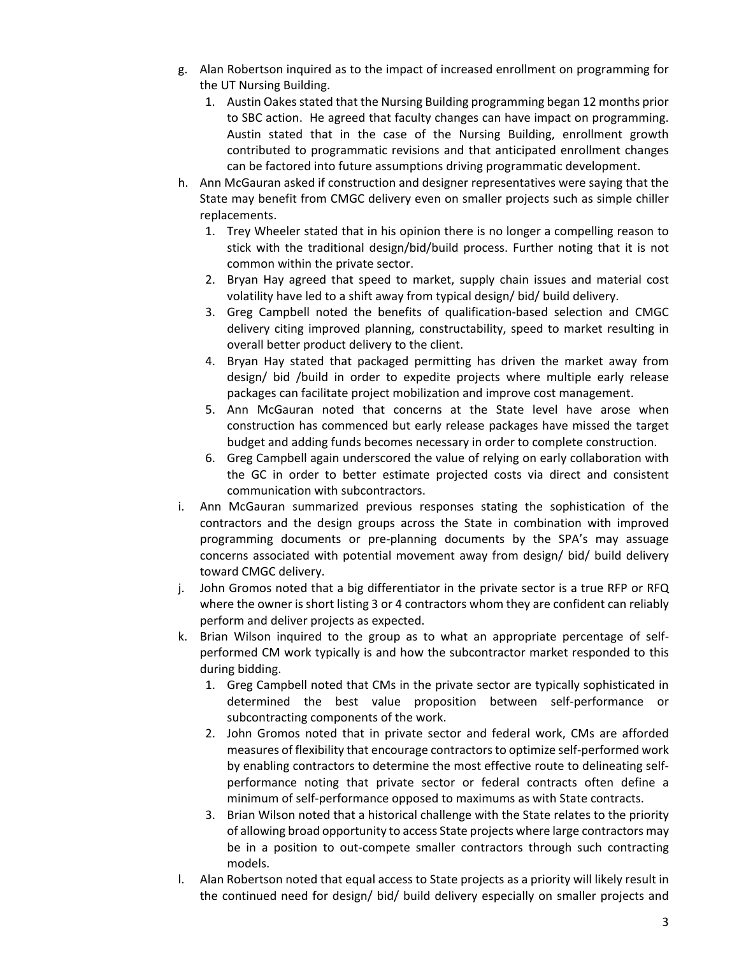- g. Alan Robertson inquired as to the impact of increased enrollment on programming for the UT Nursing Building.
	- 1. Austin Oakes stated that the Nursing Building programming began 12 months prior to SBC action. He agreed that faculty changes can have impact on programming. Austin stated that in the case of the Nursing Building, enrollment growth contributed to programmatic revisions and that anticipated enrollment changes can be factored into future assumptions driving programmatic development.
- h. Ann McGauran asked if construction and designer representatives were saying that the State may benefit from CMGC delivery even on smaller projects such as simple chiller replacements.
	- 1. Trey Wheeler stated that in his opinion there is no longer a compelling reason to stick with the traditional design/bid/build process. Further noting that it is not common within the private sector.
	- 2. Bryan Hay agreed that speed to market, supply chain issues and material cost volatility have led to a shift away from typical design/ bid/ build delivery.
	- 3. Greg Campbell noted the benefits of qualification-based selection and CMGC delivery citing improved planning, constructability, speed to market resulting in overall better product delivery to the client.
	- 4. Bryan Hay stated that packaged permitting has driven the market away from design/ bid /build in order to expedite projects where multiple early release packages can facilitate project mobilization and improve cost management.
	- 5. Ann McGauran noted that concerns at the State level have arose when construction has commenced but early release packages have missed the target budget and adding funds becomes necessary in order to complete construction.
	- 6. Greg Campbell again underscored the value of relying on early collaboration with the GC in order to better estimate projected costs via direct and consistent communication with subcontractors.
- i. Ann McGauran summarized previous responses stating the sophistication of the contractors and the design groups across the State in combination with improved programming documents or pre-planning documents by the SPA's may assuage concerns associated with potential movement away from design/ bid/ build delivery toward CMGC delivery.
- j. John Gromos noted that a big differentiator in the private sector is a true RFP or RFQ where the owner is short listing 3 or 4 contractors whom they are confident can reliably perform and deliver projects as expected.
- k. Brian Wilson inquired to the group as to what an appropriate percentage of selfperformed CM work typically is and how the subcontractor market responded to this during bidding.
	- 1. Greg Campbell noted that CMs in the private sector are typically sophisticated in determined the best value proposition between self-performance or subcontracting components of the work.
	- 2. John Gromos noted that in private sector and federal work, CMs are afforded measures of flexibility that encourage contractors to optimize self-performed work by enabling contractors to determine the most effective route to delineating selfperformance noting that private sector or federal contracts often define a minimum of self-performance opposed to maximums as with State contracts.
	- 3. Brian Wilson noted that a historical challenge with the State relates to the priority of allowing broad opportunity to access State projects where large contractors may be in a position to out-compete smaller contractors through such contracting models.
- l. Alan Robertson noted that equal access to State projects as a priority will likely result in the continued need for design/ bid/ build delivery especially on smaller projects and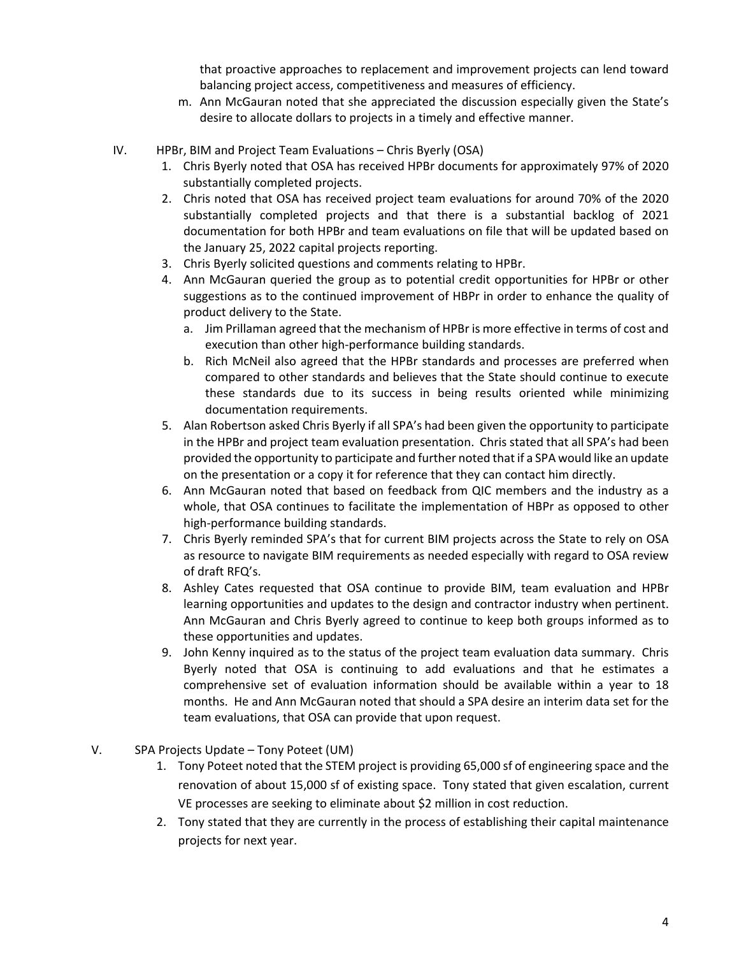that proactive approaches to replacement and improvement projects can lend toward balancing project access, competitiveness and measures of efficiency.

- m. Ann McGauran noted that she appreciated the discussion especially given the State's desire to allocate dollars to projects in a timely and effective manner.
- IV. HPBr, BIM and Project Team Evaluations Chris Byerly (OSA)
	- 1. Chris Byerly noted that OSA has received HPBr documents for approximately 97% of 2020 substantially completed projects.
	- 2. Chris noted that OSA has received project team evaluations for around 70% of the 2020 substantially completed projects and that there is a substantial backlog of 2021 documentation for both HPBr and team evaluations on file that will be updated based on the January 25, 2022 capital projects reporting.
	- 3. Chris Byerly solicited questions and comments relating to HPBr.
	- 4. Ann McGauran queried the group as to potential credit opportunities for HPBr or other suggestions as to the continued improvement of HBPr in order to enhance the quality of product delivery to the State.
		- a. Jim Prillaman agreed that the mechanism of HPBr is more effective in terms of cost and execution than other high-performance building standards.
		- b. Rich McNeil also agreed that the HPBr standards and processes are preferred when compared to other standards and believes that the State should continue to execute these standards due to its success in being results oriented while minimizing documentation requirements.
	- 5. Alan Robertson asked Chris Byerly if all SPA's had been given the opportunity to participate in the HPBr and project team evaluation presentation. Chris stated that all SPA's had been provided the opportunity to participate and further noted that if a SPA would like an update on the presentation or a copy it for reference that they can contact him directly.
	- 6. Ann McGauran noted that based on feedback from QIC members and the industry as a whole, that OSA continues to facilitate the implementation of HBPr as opposed to other high-performance building standards.
	- 7. Chris Byerly reminded SPA's that for current BIM projects across the State to rely on OSA as resource to navigate BIM requirements as needed especially with regard to OSA review of draft RFQ's.
	- 8. Ashley Cates requested that OSA continue to provide BIM, team evaluation and HPBr learning opportunities and updates to the design and contractor industry when pertinent. Ann McGauran and Chris Byerly agreed to continue to keep both groups informed as to these opportunities and updates.
	- 9. John Kenny inquired as to the status of the project team evaluation data summary. Chris Byerly noted that OSA is continuing to add evaluations and that he estimates a comprehensive set of evaluation information should be available within a year to 18 months. He and Ann McGauran noted that should a SPA desire an interim data set for the team evaluations, that OSA can provide that upon request.
- V. SPA Projects Update Tony Poteet (UM)
	- 1. Tony Poteet noted that the STEM project is providing 65,000 sf of engineering space and the renovation of about 15,000 sf of existing space. Tony stated that given escalation, current VE processes are seeking to eliminate about \$2 million in cost reduction.
	- 2. Tony stated that they are currently in the process of establishing their capital maintenance projects for next year.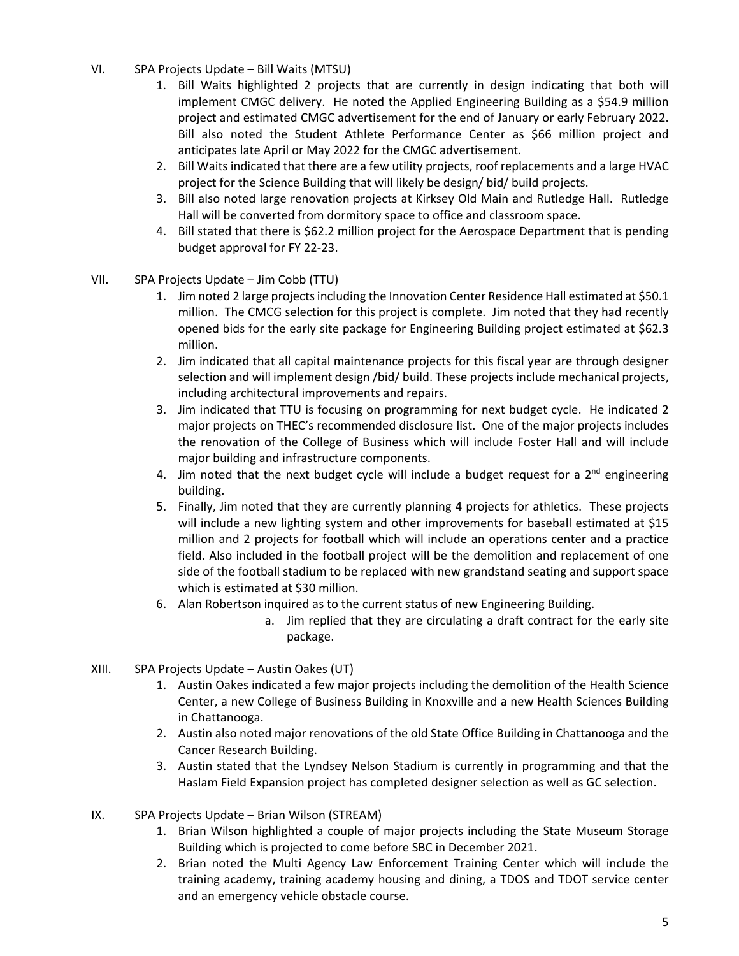- VI. SPA Projects Update Bill Waits (MTSU)
	- 1. Bill Waits highlighted 2 projects that are currently in design indicating that both will implement CMGC delivery. He noted the Applied Engineering Building as a \$54.9 million project and estimated CMGC advertisement for the end of January or early February 2022. Bill also noted the Student Athlete Performance Center as \$66 million project and anticipates late April or May 2022 for the CMGC advertisement.
	- 2. Bill Waits indicated that there are a few utility projects, roof replacements and a large HVAC project for the Science Building that will likely be design/ bid/ build projects.
	- 3. Bill also noted large renovation projects at Kirksey Old Main and Rutledge Hall. Rutledge Hall will be converted from dormitory space to office and classroom space.
	- 4. Bill stated that there is \$62.2 million project for the Aerospace Department that is pending budget approval for FY 22-23.
- VII. SPA Projects Update Jim Cobb (TTU)
	- 1. Jim noted 2 large projects including the Innovation Center Residence Hall estimated at \$50.1 million. The CMCG selection for this project is complete. Jim noted that they had recently opened bids for the early site package for Engineering Building project estimated at \$62.3 million.
	- 2. Jim indicated that all capital maintenance projects for this fiscal year are through designer selection and will implement design /bid/ build. These projects include mechanical projects, including architectural improvements and repairs.
	- 3. Jim indicated that TTU is focusing on programming for next budget cycle. He indicated 2 major projects on THEC's recommended disclosure list. One of the major projects includes the renovation of the College of Business which will include Foster Hall and will include major building and infrastructure components.
	- 4. Jim noted that the next budget cycle will include a budget request for a  $2^{nd}$  engineering building.
	- 5. Finally, Jim noted that they are currently planning 4 projects for athletics. These projects will include a new lighting system and other improvements for baseball estimated at \$15 million and 2 projects for football which will include an operations center and a practice field. Also included in the football project will be the demolition and replacement of one side of the football stadium to be replaced with new grandstand seating and support space which is estimated at \$30 million.
	- 6. Alan Robertson inquired as to the current status of new Engineering Building.
		- a. Jim replied that they are circulating a draft contract for the early site package.
- XIII. SPA Projects Update Austin Oakes (UT)
	- 1. Austin Oakes indicated a few major projects including the demolition of the Health Science Center, a new College of Business Building in Knoxville and a new Health Sciences Building in Chattanooga.
	- 2. Austin also noted major renovations of the old State Office Building in Chattanooga and the Cancer Research Building.
	- 3. Austin stated that the Lyndsey Nelson Stadium is currently in programming and that the Haslam Field Expansion project has completed designer selection as well as GC selection.
- IX. SPA Projects Update Brian Wilson (STREAM)
	- 1. Brian Wilson highlighted a couple of major projects including the State Museum Storage Building which is projected to come before SBC in December 2021.
	- 2. Brian noted the Multi Agency Law Enforcement Training Center which will include the training academy, training academy housing and dining, a TDOS and TDOT service center and an emergency vehicle obstacle course.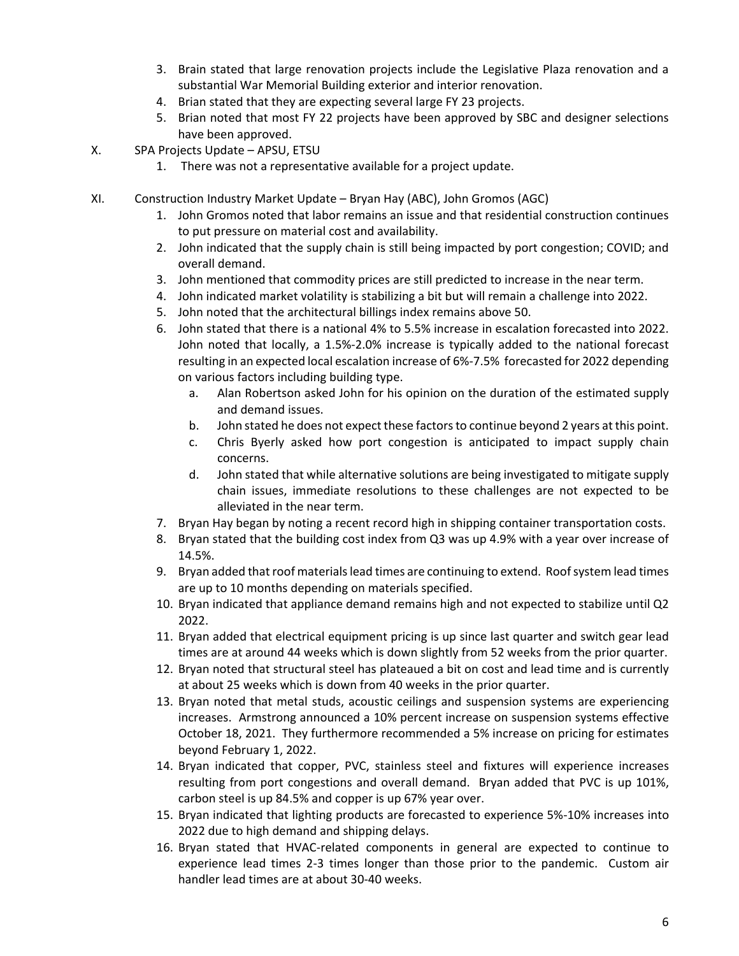- 3. Brain stated that large renovation projects include the Legislative Plaza renovation and a substantial War Memorial Building exterior and interior renovation.
- 4. Brian stated that they are expecting several large FY 23 projects.
- 5. Brian noted that most FY 22 projects have been approved by SBC and designer selections have been approved.
- X. SPA Projects Update APSU, ETSU
	- 1. There was not a representative available for a project update.
- XI. Construction Industry Market Update Bryan Hay (ABC), John Gromos (AGC)
	- 1. John Gromos noted that labor remains an issue and that residential construction continues to put pressure on material cost and availability.
	- 2. John indicated that the supply chain is still being impacted by port congestion; COVID; and overall demand.
	- 3. John mentioned that commodity prices are still predicted to increase in the near term.
	- 4. John indicated market volatility is stabilizing a bit but will remain a challenge into 2022.
	- 5. John noted that the architectural billings index remains above 50.
	- 6. John stated that there is a national 4% to 5.5% increase in escalation forecasted into 2022. John noted that locally, a 1.5%-2.0% increase is typically added to the national forecast resulting in an expected local escalation increase of 6%-7.5% forecasted for 2022 depending on various factors including building type.
		- a. Alan Robertson asked John for his opinion on the duration of the estimated supply and demand issues.
		- b. John stated he does not expect these factors to continue beyond 2 years at this point.
		- c. Chris Byerly asked how port congestion is anticipated to impact supply chain concerns.
		- d. John stated that while alternative solutions are being investigated to mitigate supply chain issues, immediate resolutions to these challenges are not expected to be alleviated in the near term.
	- 7. Bryan Hay began by noting a recent record high in shipping container transportation costs.
	- 8. Bryan stated that the building cost index from Q3 was up 4.9% with a year over increase of 14.5%.
	- 9. Bryan added that roof materials lead times are continuing to extend. Roof system lead times are up to 10 months depending on materials specified.
	- 10. Bryan indicated that appliance demand remains high and not expected to stabilize until Q2 2022.
	- 11. Bryan added that electrical equipment pricing is up since last quarter and switch gear lead times are at around 44 weeks which is down slightly from 52 weeks from the prior quarter.
	- 12. Bryan noted that structural steel has plateaued a bit on cost and lead time and is currently at about 25 weeks which is down from 40 weeks in the prior quarter.
	- 13. Bryan noted that metal studs, acoustic ceilings and suspension systems are experiencing increases. Armstrong announced a 10% percent increase on suspension systems effective October 18, 2021. They furthermore recommended a 5% increase on pricing for estimates beyond February 1, 2022.
	- 14. Bryan indicated that copper, PVC, stainless steel and fixtures will experience increases resulting from port congestions and overall demand. Bryan added that PVC is up 101%, carbon steel is up 84.5% and copper is up 67% year over.
	- 15. Bryan indicated that lighting products are forecasted to experience 5%-10% increases into 2022 due to high demand and shipping delays.
	- 16. Bryan stated that HVAC-related components in general are expected to continue to experience lead times 2-3 times longer than those prior to the pandemic. Custom air handler lead times are at about 30-40 weeks.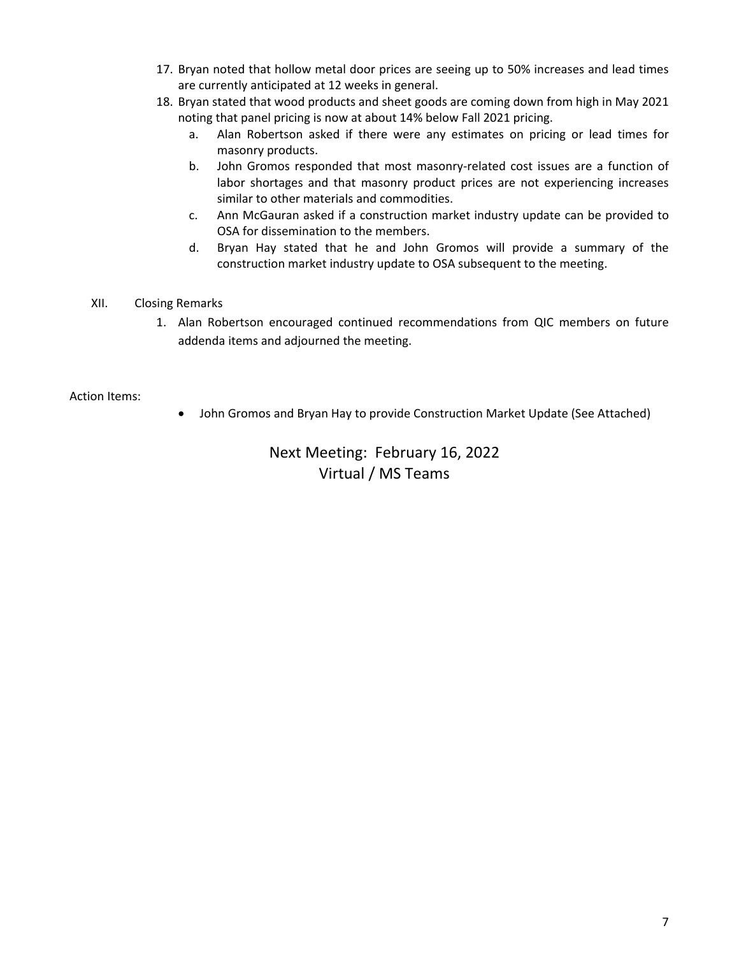- 17. Bryan noted that hollow metal door prices are seeing up to 50% increases and lead times are currently anticipated at 12 weeks in general.
- 18. Bryan stated that wood products and sheet goods are coming down from high in May 2021 noting that panel pricing is now at about 14% below Fall 2021 pricing.
	- a. Alan Robertson asked if there were any estimates on pricing or lead times for masonry products.
	- b. John Gromos responded that most masonry-related cost issues are a function of labor shortages and that masonry product prices are not experiencing increases similar to other materials and commodities.
	- c. Ann McGauran asked if a construction market industry update can be provided to OSA for dissemination to the members.
	- d. Bryan Hay stated that he and John Gromos will provide a summary of the construction market industry update to OSA subsequent to the meeting.
- XII. Closing Remarks
	- 1. Alan Robertson encouraged continued recommendations from QIC members on future addenda items and adjourned the meeting.

#### Action Items:

• John Gromos and Bryan Hay to provide Construction Market Update (See Attached)

## Next Meeting: February 16, 2022 Virtual / MS Teams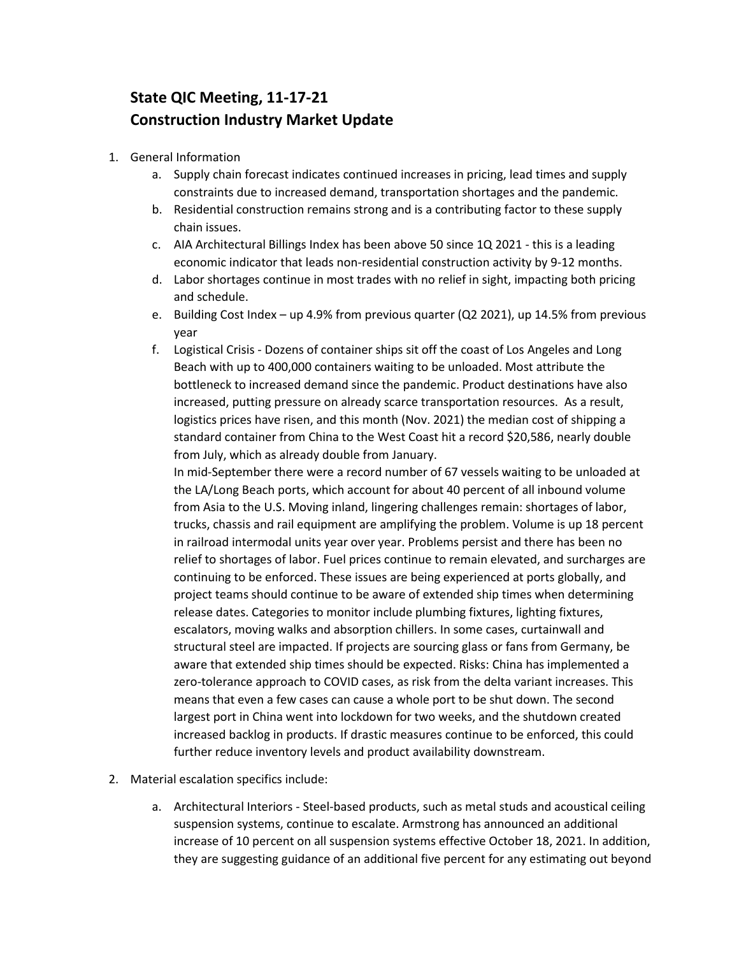# **State QIC Meeting, 11-17-21 Construction Industry Market Update**

- 1. General Information
	- a. Supply chain forecast indicates continued increases in pricing, lead times and supply constraints due to increased demand, transportation shortages and the pandemic.
	- b. Residential construction remains strong and is a contributing factor to these supply chain issues.
	- c. AIA Architectural Billings Index has been above 50 since 1Q 2021 this is a leading economic indicator that leads non-residential construction activity by 9-12 months.
	- d. Labor shortages continue in most trades with no relief in sight, impacting both pricing and schedule.
	- e. Building Cost Index up 4.9% from previous quarter (Q2 2021), up 14.5% from previous year
	- f. Logistical Crisis Dozens of container ships sit off the coast of Los Angeles and Long Beach with up to 400,000 containers waiting to be unloaded. Most attribute the bottleneck to increased demand since the pandemic. Product destinations have also increased, putting pressure on already scarce transportation resources. As a result, logistics prices have risen, and this month (Nov. 2021) the median cost of shipping a standard container from China to the West Coast hit a record \$20,586, nearly double from July, which as already double from January.

In mid-September there were a record number of 67 vessels waiting to be unloaded at the LA/Long Beach ports, which account for about 40 percent of all inbound volume from Asia to the U.S. Moving inland, lingering challenges remain: shortages of labor, trucks, chassis and rail equipment are amplifying the problem. Volume is up 18 percent in railroad intermodal units year over year. Problems persist and there has been no relief to shortages of labor. Fuel prices continue to remain elevated, and surcharges are continuing to be enforced. These issues are being experienced at ports globally, and project teams should continue to be aware of extended ship times when determining release dates. Categories to monitor include plumbing fixtures, lighting fixtures, escalators, moving walks and absorption chillers. In some cases, curtainwall and structural steel are impacted. If projects are sourcing glass or fans from Germany, be aware that extended ship times should be expected. Risks: China has implemented a zero-tolerance approach to COVID cases, as risk from the delta variant increases. This means that even a few cases can cause a whole port to be shut down. The second largest port in China went into lockdown for two weeks, and the shutdown created increased backlog in products. If drastic measures continue to be enforced, this could further reduce inventory levels and product availability downstream.

- 2. Material escalation specifics include:
	- a. Architectural Interiors Steel-based products, such as metal studs and acoustical ceiling suspension systems, continue to escalate. Armstrong has announced an additional increase of 10 percent on all suspension systems effective October 18, 2021. In addition, they are suggesting guidance of an additional five percent for any estimating out beyond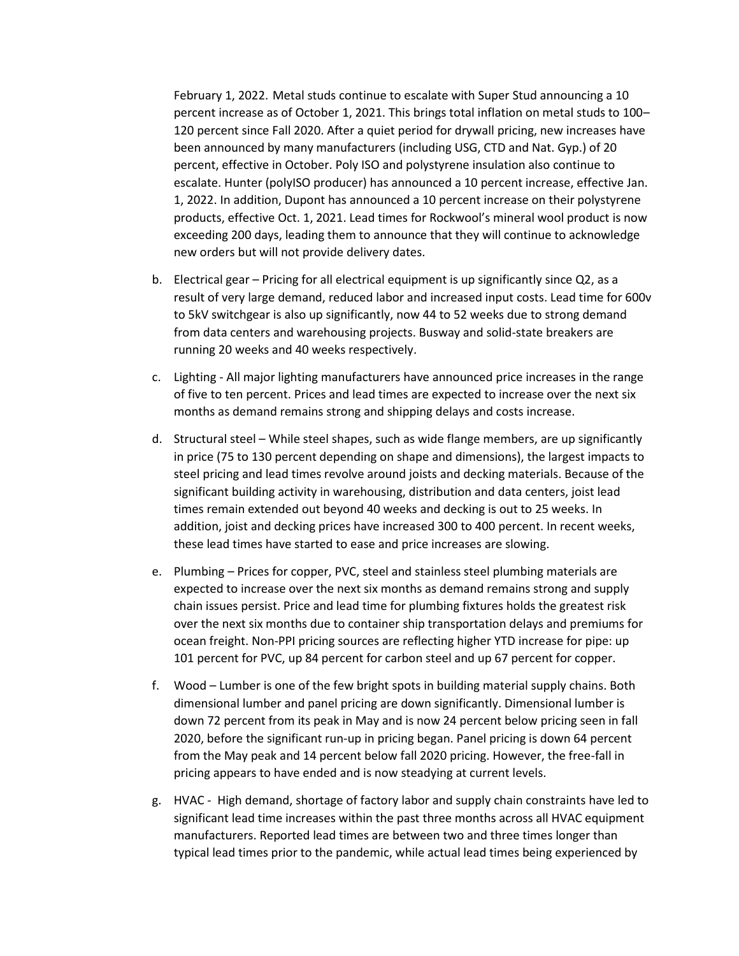February 1, 2022. Metal studs continue to escalate with Super Stud announcing a 10 percent increase as of October 1, 2021. This brings total inflation on metal studs to 100– 120 percent since Fall 2020. After a quiet period for drywall pricing, new increases have been announced by many manufacturers (including USG, CTD and Nat. Gyp.) of 20 percent, effective in October. Poly ISO and polystyrene insulation also continue to escalate. Hunter (polyISO producer) has announced a 10 percent increase, effective Jan. 1, 2022. In addition, Dupont has announced a 10 percent increase on their polystyrene products, effective Oct. 1, 2021. Lead times for Rockwool's mineral wool product is now exceeding 200 days, leading them to announce that they will continue to acknowledge new orders but will not provide delivery dates.

- b. Electrical gear Pricing for all electrical equipment is up significantly since Q2, as a result of very large demand, reduced labor and increased input costs. Lead time for 600v to 5kV switchgear is also up significantly, now 44 to 52 weeks due to strong demand from data centers and warehousing projects. Busway and solid-state breakers are running 20 weeks and 40 weeks respectively.
- c. Lighting All major lighting manufacturers have announced price increases in the range of five to ten percent. Prices and lead times are expected to increase over the next six months as demand remains strong and shipping delays and costs increase.
- d. Structural steel While steel shapes, such as wide flange members, are up significantly in price (75 to 130 percent depending on shape and dimensions), the largest impacts to steel pricing and lead times revolve around joists and decking materials. Because of the significant building activity in warehousing, distribution and data centers, joist lead times remain extended out beyond 40 weeks and decking is out to 25 weeks. In addition, joist and decking prices have increased 300 to 400 percent. In recent weeks, these lead times have started to ease and price increases are slowing.
- e. Plumbing Prices for copper, PVC, steel and stainless steel plumbing materials are expected to increase over the next six months as demand remains strong and supply chain issues persist. Price and lead time for plumbing fixtures holds the greatest risk over the next six months due to container ship transportation delays and premiums for ocean freight. Non-PPI pricing sources are reflecting higher YTD increase for pipe: up 101 percent for PVC, up 84 percent for carbon steel and up 67 percent for copper.
- f. Wood Lumber is one of the few bright spots in building material supply chains. Both dimensional lumber and panel pricing are down significantly. Dimensional lumber is down 72 percent from its peak in May and is now 24 percent below pricing seen in fall 2020, before the significant run-up in pricing began. Panel pricing is down 64 percent from the May peak and 14 percent below fall 2020 pricing. However, the free-fall in pricing appears to have ended and is now steadying at current levels.
- g. HVAC High demand, shortage of factory labor and supply chain constraints have led to significant lead time increases within the past three months across all HVAC equipment manufacturers. Reported lead times are between two and three times longer than typical lead times prior to the pandemic, while actual lead times being experienced by